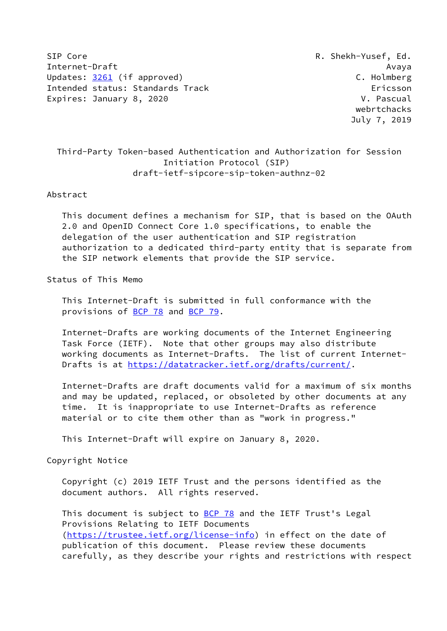SIP Core R. Shekh-Yusef, Ed. Internet-Draft Avaya Updates: [3261](https://datatracker.ietf.org/doc/pdf/rfc3261) (if approved) C. Holmberg Intended status: Standards Track Ericsson Expires: January 8, 2020 V. Pascual

 webrtchacks July 7, 2019

# Third-Party Token-based Authentication and Authorization for Session Initiation Protocol (SIP) draft-ietf-sipcore-sip-token-authnz-02

### Abstract

 This document defines a mechanism for SIP, that is based on the OAuth 2.0 and OpenID Connect Core 1.0 specifications, to enable the delegation of the user authentication and SIP registration authorization to a dedicated third-party entity that is separate from the SIP network elements that provide the SIP service.

## Status of This Memo

 This Internet-Draft is submitted in full conformance with the provisions of [BCP 78](https://datatracker.ietf.org/doc/pdf/bcp78) and [BCP 79](https://datatracker.ietf.org/doc/pdf/bcp79).

 Internet-Drafts are working documents of the Internet Engineering Task Force (IETF). Note that other groups may also distribute working documents as Internet-Drafts. The list of current Internet- Drafts is at<https://datatracker.ietf.org/drafts/current/>.

 Internet-Drafts are draft documents valid for a maximum of six months and may be updated, replaced, or obsoleted by other documents at any time. It is inappropriate to use Internet-Drafts as reference material or to cite them other than as "work in progress."

This Internet-Draft will expire on January 8, 2020.

Copyright Notice

 Copyright (c) 2019 IETF Trust and the persons identified as the document authors. All rights reserved.

This document is subject to **[BCP 78](https://datatracker.ietf.org/doc/pdf/bcp78)** and the IETF Trust's Legal Provisions Relating to IETF Documents [\(https://trustee.ietf.org/license-info](https://trustee.ietf.org/license-info)) in effect on the date of publication of this document. Please review these documents carefully, as they describe your rights and restrictions with respect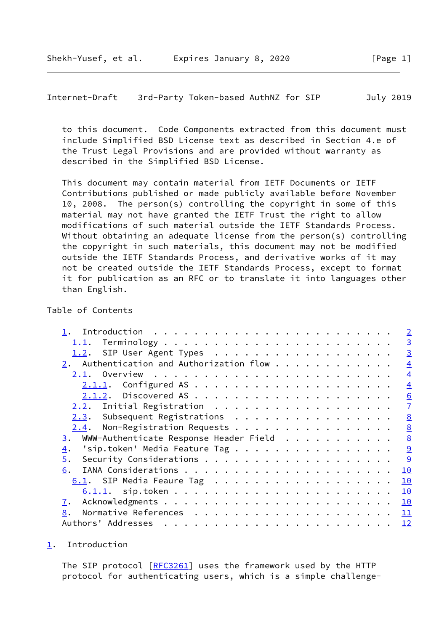<span id="page-1-1"></span>Internet-Draft 3rd-Party Token-based AuthNZ for SIP July 2019

 to this document. Code Components extracted from this document must include Simplified BSD License text as described in Section 4.e of the Trust Legal Provisions and are provided without warranty as described in the Simplified BSD License.

 This document may contain material from IETF Documents or IETF Contributions published or made publicly available before November 10, 2008. The person(s) controlling the copyright in some of this material may not have granted the IETF Trust the right to allow modifications of such material outside the IETF Standards Process. Without obtaining an adequate license from the person(s) controlling the copyright in such materials, this document may not be modified outside the IETF Standards Process, and derivative works of it may not be created outside the IETF Standards Process, except to format it for publication as an RFC or to translate it into languages other than English.

### Table of Contents

|                  |                                                |  |  |  |  |  | $\overline{2}$  |
|------------------|------------------------------------------------|--|--|--|--|--|-----------------|
| 1.1.             |                                                |  |  |  |  |  | $\overline{3}$  |
|                  | 1.2. SIP User Agent Types                      |  |  |  |  |  | $\overline{3}$  |
|                  | $2.$ Authentication and Authorization flow $.$ |  |  |  |  |  | $\overline{4}$  |
|                  |                                                |  |  |  |  |  | $\overline{4}$  |
|                  |                                                |  |  |  |  |  | $\overline{4}$  |
|                  |                                                |  |  |  |  |  | 6               |
| <u>2.2</u> .     | Initial Registration                           |  |  |  |  |  | $\overline{1}$  |
|                  | Subsequent Registrations<br>2.3.               |  |  |  |  |  | 8               |
|                  | Non-Registration Requests<br>2.4.              |  |  |  |  |  | 8               |
| 3.               | WWW-Authenticate Response Header Field         |  |  |  |  |  | $\underline{8}$ |
| $\overline{4}$ . | 'sip.token' Media Feature Tag                  |  |  |  |  |  | $\overline{9}$  |
| $\overline{5}$ . |                                                |  |  |  |  |  | 9               |
| 6.               |                                                |  |  |  |  |  | 10              |
|                  | 6.1. SIP Media Feaure Tag                      |  |  |  |  |  | 10              |
|                  |                                                |  |  |  |  |  | 10              |
| 7.               |                                                |  |  |  |  |  | 10              |
| 8.               |                                                |  |  |  |  |  | 11              |
|                  | Authors' Addresses                             |  |  |  |  |  | 12              |

<span id="page-1-0"></span>[1](#page-1-0). Introduction

The SIP protocol [\[RFC3261](https://datatracker.ietf.org/doc/pdf/rfc3261)] uses the framework used by the HTTP protocol for authenticating users, which is a simple challenge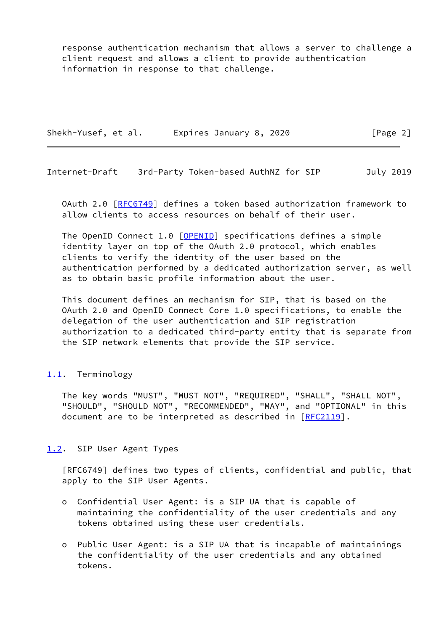response authentication mechanism that allows a server to challenge a client request and allows a client to provide authentication information in response to that challenge.

Shekh-Yusef, et al. Expires January 8, 2020 [Page 2]

<span id="page-2-1"></span>Internet-Draft 3rd-Party Token-based AuthNZ for SIP July 2019

 OAuth 2.0 [[RFC6749](https://datatracker.ietf.org/doc/pdf/rfc6749)] defines a token based authorization framework to allow clients to access resources on behalf of their user.

The OpenID Connect 1.0 [\[OPENID](#page-11-2)] specifications defines a simple identity layer on top of the OAuth 2.0 protocol, which enables clients to verify the identity of the user based on the authentication performed by a dedicated authorization server, as well as to obtain basic profile information about the user.

 This document defines an mechanism for SIP, that is based on the OAuth 2.0 and OpenID Connect Core 1.0 specifications, to enable the delegation of the user authentication and SIP registration authorization to a dedicated third-party entity that is separate from the SIP network elements that provide the SIP service.

### <span id="page-2-0"></span>[1.1](#page-2-0). Terminology

 The key words "MUST", "MUST NOT", "REQUIRED", "SHALL", "SHALL NOT", "SHOULD", "SHOULD NOT", "RECOMMENDED", "MAY", and "OPTIONAL" in this document are to be interpreted as described in [\[RFC2119](https://datatracker.ietf.org/doc/pdf/rfc2119)].

### <span id="page-2-2"></span>[1.2](#page-2-2). SIP User Agent Types

 [RFC6749] defines two types of clients, confidential and public, that apply to the SIP User Agents.

- o Confidential User Agent: is a SIP UA that is capable of maintaining the confidentiality of the user credentials and any tokens obtained using these user credentials.
- o Public User Agent: is a SIP UA that is incapable of maintainings the confidentiality of the user credentials and any obtained tokens.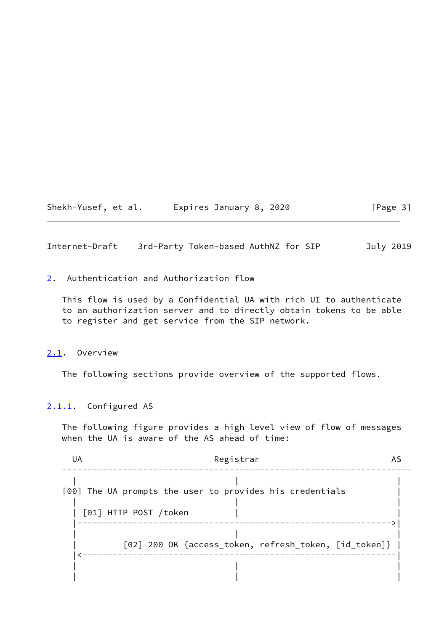Shekh-Yusef, et al. Expires January 8, 2020 [Page 3]

<span id="page-3-1"></span>Internet-Draft 3rd-Party Token-based AuthNZ for SIP July 2019

<span id="page-3-0"></span>[2](#page-3-0). Authentication and Authorization flow

 This flow is used by a Confidential UA with rich UI to authenticate to an authorization server and to directly obtain tokens to be able to register and get service from the SIP network.

### <span id="page-3-2"></span>[2.1](#page-3-2). Overview

The following sections provide overview of the supported flows.

# <span id="page-3-3"></span>[2.1.1](#page-3-3). Configured AS

 The following figure provides a high level view of flow of messages when the UA is aware of the AS ahead of time:

| UA | Registrar                                                |
|----|----------------------------------------------------------|
|    | [00] The UA prompts the user to provides his credentials |
|    | [01] HTTP POST /token                                    |
|    | [02] 200 OK {access_token, refresh_token, [id_token]}    |
|    |                                                          |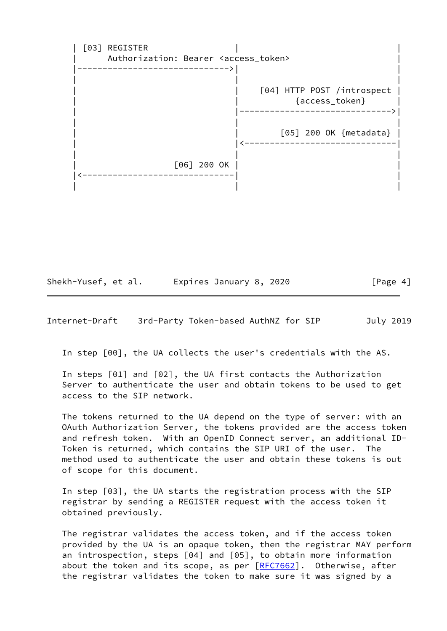[03] REGISTER Authorization: Bearer <access\_token> |------------------------------>| | | | | | | [04] HTTP POST /introspect | | | {access\_token} | | |------------------------------>| | | | [05] 200 OK {metadata} | | |<------------------------------| | | | | [06] 200 OK | | |<------------------------------| | | | |

Shekh-Yusef, et al. Expires January 8, 2020 [Page 4]

Internet-Draft 3rd-Party Token-based AuthNZ for SIP July 2019

In step [00], the UA collects the user's credentials with the AS.

 In steps [01] and [02], the UA first contacts the Authorization Server to authenticate the user and obtain tokens to be used to get access to the SIP network.

 The tokens returned to the UA depend on the type of server: with an OAuth Authorization Server, the tokens provided are the access token and refresh token. With an OpenID Connect server, an additional ID- Token is returned, which contains the SIP URI of the user. The method used to authenticate the user and obtain these tokens is out of scope for this document.

 In step [03], the UA starts the registration process with the SIP registrar by sending a REGISTER request with the access token it obtained previously.

 The registrar validates the access token, and if the access token provided by the UA is an opaque token, then the registrar MAY perform an introspection, steps [04] and [05], to obtain more information about the token and its scope, as per [[RFC7662](https://datatracker.ietf.org/doc/pdf/rfc7662)]. Otherwise, after the registrar validates the token to make sure it was signed by a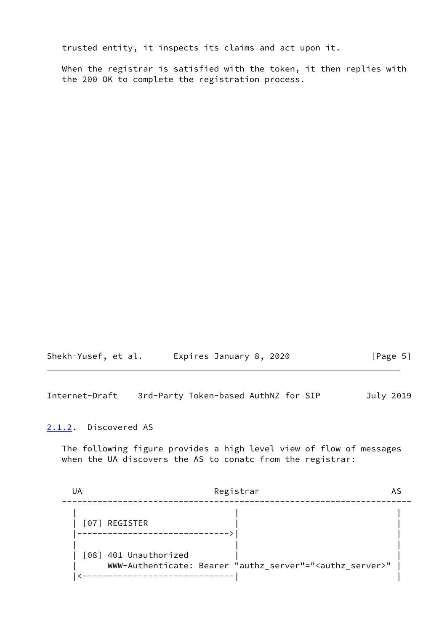trusted entity, it inspects its claims and act upon it.

 When the registrar is satisfied with the token, it then replies with the 200 OK to complete the registration process.

| Shekh-Yusef, et al. | Expires January 8, 2020 | [Page 5] |
|---------------------|-------------------------|----------|
|---------------------|-------------------------|----------|

<span id="page-5-1"></span>Internet-Draft 3rd-Party Token-based AuthNZ for SIP July 2019

### <span id="page-5-0"></span>[2.1.2](#page-5-0). Discovered AS

 The following figure provides a high level view of flow of messages when the UA discovers the AS to conatc from the registrar:

| Registrar                                                                                         |  |
|---------------------------------------------------------------------------------------------------|--|
| [07] REGISTER                                                                                     |  |
| [08] 401 Unauthorized<br>WWW-Authenticate: Bearer "authz_server"=" <authz_server>"</authz_server> |  |
|                                                                                                   |  |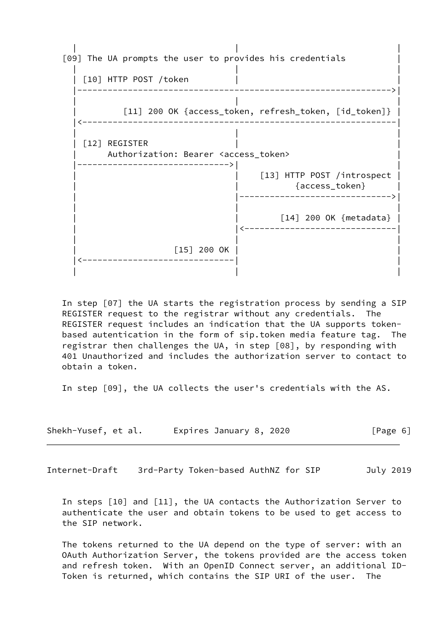

 In step [07] the UA starts the registration process by sending a SIP REGISTER request to the registrar without any credentials. The REGISTER request includes an indication that the UA supports token based autentication in the form of sip.token media feature tag. The registrar then challenges the UA, in step [08], by responding with 401 Unauthorized and includes the authorization server to contact to obtain a token.

In step [09], the UA collects the user's credentials with the AS.

| Shekh-Yusef, et al. | Expires January 8, 2020 | [Page 6] |
|---------------------|-------------------------|----------|
|---------------------|-------------------------|----------|

<span id="page-6-0"></span>Internet-Draft 3rd-Party Token-based AuthNZ for SIP July 2019

 In steps [10] and [11], the UA contacts the Authorization Server to authenticate the user and obtain tokens to be used to get access to the SIP network.

 The tokens returned to the UA depend on the type of server: with an OAuth Authorization Server, the tokens provided are the access token and refresh token. With an OpenID Connect server, an additional ID- Token is returned, which contains the SIP URI of the user. The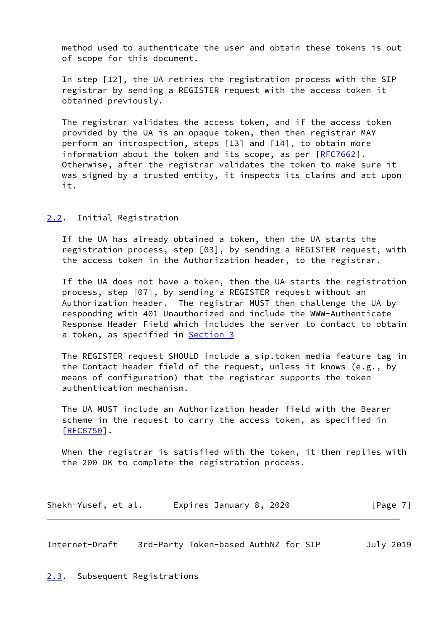method used to authenticate the user and obtain these tokens is out of scope for this document.

 In step [12], the UA retries the registration process with the SIP registrar by sending a REGISTER request with the access token it obtained previously.

 The registrar validates the access token, and if the access token provided by the UA is an opaque token, then then registrar MAY perform an introspection, steps [13] and [14], to obtain more information about the token and its scope, as per  $[REC7662]$ . Otherwise, after the registrar validates the token to make sure it was signed by a trusted entity, it inspects its claims and act upon it.

<span id="page-7-0"></span>[2.2](#page-7-0). Initial Registration

 If the UA has already obtained a token, then the UA starts the registration process, step [03], by sending a REGISTER request, with the access token in the Authorization header, to the registrar.

 If the UA does not have a token, then the UA starts the registration process, step [07], by sending a REGISTER request without an Authorization header. The registrar MUST then challenge the UA by responding with 401 Unauthorized and include the WWW-Authenticate Response Header Field which includes the server to contact to obtain a token, as specified in **Section 3** 

 The REGISTER request SHOULD include a sip.token media feature tag in the Contact header field of the request, unless it knows (e.g., by means of configuration) that the registrar supports the token authentication mechanism.

 The UA MUST include an Authorization header field with the Bearer scheme in the request to carry the access token, as specified in  $[REG750]$ .

 When the registrar is satisfied with the token, it then replies with the 200 OK to complete the registration process.

| Shekh-Yusef, et al. | Expires January 8, 2020 | [Page 7] |
|---------------------|-------------------------|----------|
|---------------------|-------------------------|----------|

<span id="page-7-2"></span>Internet-Draft 3rd-Party Token-based AuthNZ for SIP July 2019

<span id="page-7-1"></span>[2.3](#page-7-1). Subsequent Registrations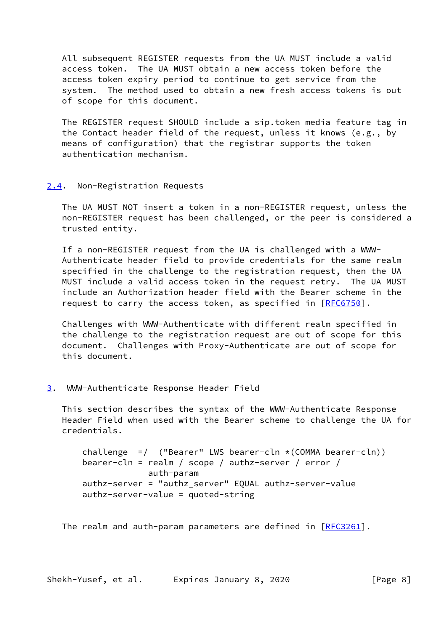All subsequent REGISTER requests from the UA MUST include a valid access token. The UA MUST obtain a new access token before the access token expiry period to continue to get service from the system. The method used to obtain a new fresh access tokens is out of scope for this document.

 The REGISTER request SHOULD include a sip.token media feature tag in the Contact header field of the request, unless it knows (e.g., by means of configuration) that the registrar supports the token authentication mechanism.

### <span id="page-8-0"></span>[2.4](#page-8-0). Non-Registration Requests

 The UA MUST NOT insert a token in a non-REGISTER request, unless the non-REGISTER request has been challenged, or the peer is considered a trusted entity.

 If a non-REGISTER request from the UA is challenged with a WWW- Authenticate header field to provide credentials for the same realm specified in the challenge to the registration request, then the UA MUST include a valid access token in the request retry. The UA MUST include an Authorization header field with the Bearer scheme in the request to carry the access token, as specified in [[RFC6750\]](https://datatracker.ietf.org/doc/pdf/rfc6750).

 Challenges with WWW-Authenticate with different realm specified in the challenge to the registration request are out of scope for this document. Challenges with Proxy-Authenticate are out of scope for this document.

### <span id="page-8-1"></span>[3](#page-8-1). WWW-Authenticate Response Header Field

 This section describes the syntax of the WWW-Authenticate Response Header Field when used with the Bearer scheme to challenge the UA for credentials.

```
challenge = ("Bearer" LWS bearer-cln \star (COMMA bearer-cln))
bearer-cln = realm / scope / authz-server / error /
             auth-param
authz-server = "authz_server" EQUAL authz-server-value
authz-server-value = quoted-string
```
The realm and auth-param parameters are defined in  $[REC3261]$ .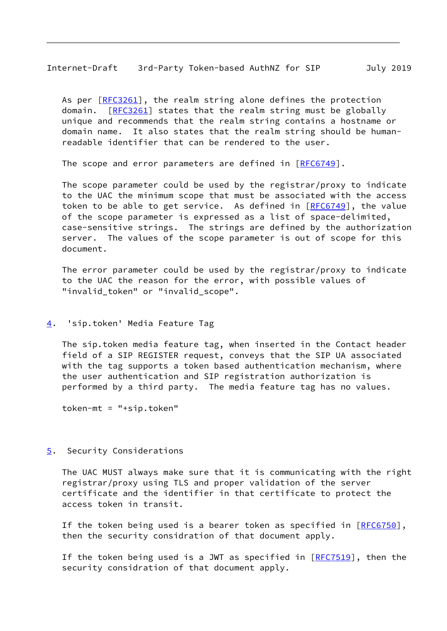<span id="page-9-1"></span>Internet-Draft 3rd-Party Token-based AuthNZ for SIP July 2019

As per [\[RFC3261](https://datatracker.ietf.org/doc/pdf/rfc3261)], the realm string alone defines the protection domain. [\[RFC3261](https://datatracker.ietf.org/doc/pdf/rfc3261)] states that the realm string must be globally unique and recommends that the realm string contains a hostname or domain name. It also states that the realm string should be human readable identifier that can be rendered to the user.

The scope and error parameters are defined in [[RFC6749](https://datatracker.ietf.org/doc/pdf/rfc6749)].

 The scope parameter could be used by the registrar/proxy to indicate to the UAC the minimum scope that must be associated with the access token to be able to get service. As defined in  $[REC6749]$ , the value of the scope parameter is expressed as a list of space-delimited, case-sensitive strings. The strings are defined by the authorization server. The values of the scope parameter is out of scope for this document.

 The error parameter could be used by the registrar/proxy to indicate to the UAC the reason for the error, with possible values of "invalid\_token" or "invalid\_scope".

#### <span id="page-9-0"></span>[4](#page-9-0). 'sip.token' Media Feature Tag

 The sip.token media feature tag, when inserted in the Contact header field of a SIP REGISTER request, conveys that the SIP UA associated with the tag supports a token based authentication mechanism, where the user authentication and SIP registration authorization is performed by a third party. The media feature tag has no values.

token-mt = "+sip.token"

### <span id="page-9-2"></span>[5](#page-9-2). Security Considerations

 The UAC MUST always make sure that it is communicating with the right registrar/proxy using TLS and proper validation of the server certificate and the identifier in that certificate to protect the access token in transit.

If the token being used is a bearer token as specified in  $[REG750]$ , then the security considration of that document apply.

If the token being used is a JWT as specified in  $[REC7519]$ , then the security considration of that document apply.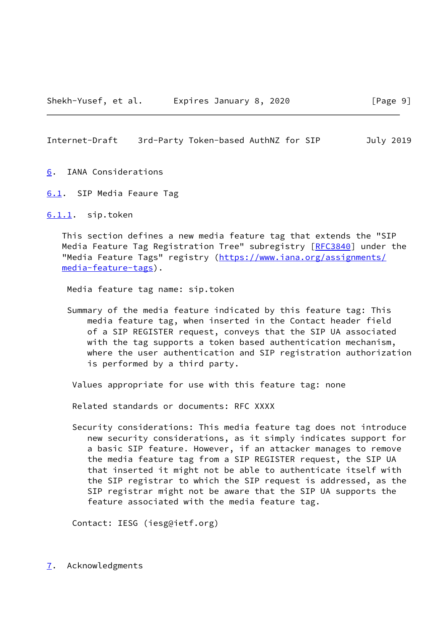<span id="page-10-1"></span>Internet-Draft 3rd-Party Token-based AuthNZ for SIP July 2019

- <span id="page-10-0"></span>[6](#page-10-0). IANA Considerations
- <span id="page-10-2"></span>[6.1](#page-10-2). SIP Media Feaure Tag

<span id="page-10-3"></span>[6.1.1](#page-10-3). sip.token

 This section defines a new media feature tag that extends the "SIP Media Feature Tag Registration Tree" subregistry [\[RFC3840](https://datatracker.ietf.org/doc/pdf/rfc3840)] under the "Media Feature Tags" registry ([https://www.iana.org/assignments/](https://www.iana.org/assignments/media-feature-tags) [media-feature-tags](https://www.iana.org/assignments/media-feature-tags)).

Media feature tag name: sip.token

 Summary of the media feature indicated by this feature tag: This media feature tag, when inserted in the Contact header field of a SIP REGISTER request, conveys that the SIP UA associated with the tag supports a token based authentication mechanism, where the user authentication and SIP registration authorization is performed by a third party.

Values appropriate for use with this feature tag: none

Related standards or documents: RFC XXXX

 Security considerations: This media feature tag does not introduce new security considerations, as it simply indicates support for a basic SIP feature. However, if an attacker manages to remove the media feature tag from a SIP REGISTER request, the SIP UA that inserted it might not be able to authenticate itself with the SIP registrar to which the SIP request is addressed, as the SIP registrar might not be aware that the SIP UA supports the feature associated with the media feature tag.

Contact: IESG (iesg@ietf.org)

<span id="page-10-4"></span>[7](#page-10-4). Acknowledgments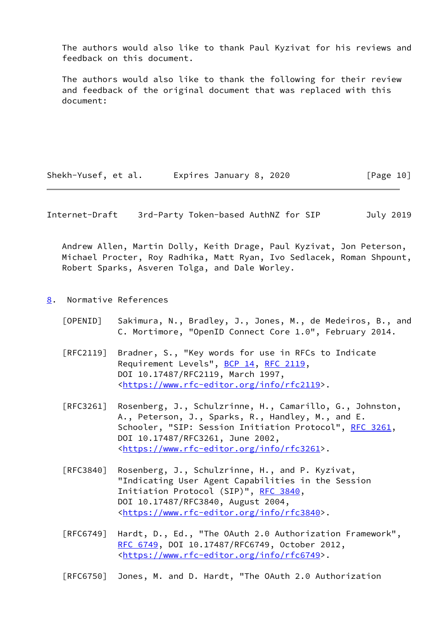The authors would also like to thank Paul Kyzivat for his reviews and feedback on this document.

 The authors would also like to thank the following for their review and feedback of the original document that was replaced with this document:

Shekh-Yusef, et al. Expires January 8, 2020 [Page 10]

<span id="page-11-1"></span>Internet-Draft 3rd-Party Token-based AuthNZ for SIP July 2019

 Andrew Allen, Martin Dolly, Keith Drage, Paul Kyzivat, Jon Peterson, Michael Procter, Roy Radhika, Matt Ryan, Ivo Sedlacek, Roman Shpount, Robert Sparks, Asveren Tolga, and Dale Worley.

- <span id="page-11-2"></span><span id="page-11-0"></span>[8](#page-11-0). Normative References
	- [OPENID] Sakimura, N., Bradley, J., Jones, M., de Medeiros, B., and C. Mortimore, "OpenID Connect Core 1.0", February 2014.
	- [RFC2119] Bradner, S., "Key words for use in RFCs to Indicate Requirement Levels", [BCP 14](https://datatracker.ietf.org/doc/pdf/bcp14), [RFC 2119](https://datatracker.ietf.org/doc/pdf/rfc2119), DOI 10.17487/RFC2119, March 1997, <[https://www.rfc-editor.org/info/rfc2119>](https://www.rfc-editor.org/info/rfc2119).
	- [RFC3261] Rosenberg, J., Schulzrinne, H., Camarillo, G., Johnston, A., Peterson, J., Sparks, R., Handley, M., and E. Schooler, "SIP: Session Initiation Protocol", [RFC 3261](https://datatracker.ietf.org/doc/pdf/rfc3261), DOI 10.17487/RFC3261, June 2002, <[https://www.rfc-editor.org/info/rfc3261>](https://www.rfc-editor.org/info/rfc3261).
	- [RFC3840] Rosenberg, J., Schulzrinne, H., and P. Kyzivat, "Indicating User Agent Capabilities in the Session Initiation Protocol (SIP)", [RFC 3840,](https://datatracker.ietf.org/doc/pdf/rfc3840) DOI 10.17487/RFC3840, August 2004, <[https://www.rfc-editor.org/info/rfc3840>](https://www.rfc-editor.org/info/rfc3840).
	- [RFC6749] Hardt, D., Ed., "The OAuth 2.0 Authorization Framework", [RFC 6749,](https://datatracker.ietf.org/doc/pdf/rfc6749) DOI 10.17487/RFC6749, October 2012, <[https://www.rfc-editor.org/info/rfc6749>](https://www.rfc-editor.org/info/rfc6749).

[RFC6750] Jones, M. and D. Hardt, "The OAuth 2.0 Authorization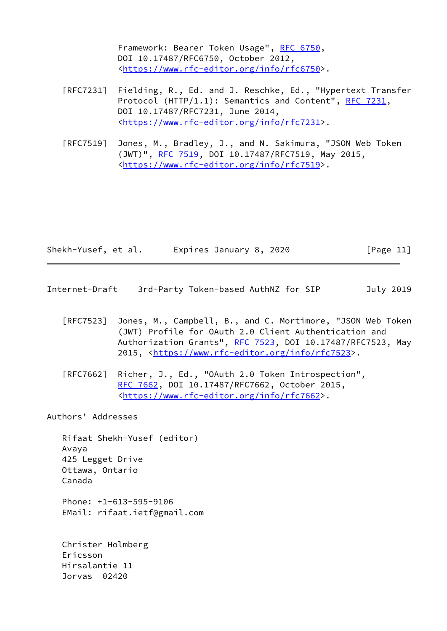Framework: Bearer Token Usage", [RFC 6750,](https://datatracker.ietf.org/doc/pdf/rfc6750) DOI 10.17487/RFC6750, October 2012, <[https://www.rfc-editor.org/info/rfc6750>](https://www.rfc-editor.org/info/rfc6750).

- [RFC7231] Fielding, R., Ed. and J. Reschke, Ed., "Hypertext Transfer Protocol (HTTP/1.1): Semantics and Content", [RFC 7231](https://datatracker.ietf.org/doc/pdf/rfc7231), DOI 10.17487/RFC7231, June 2014, <[https://www.rfc-editor.org/info/rfc7231>](https://www.rfc-editor.org/info/rfc7231).
- [RFC7519] Jones, M., Bradley, J., and N. Sakimura, "JSON Web Token (JWT)", [RFC 7519,](https://datatracker.ietf.org/doc/pdf/rfc7519) DOI 10.17487/RFC7519, May 2015, <[https://www.rfc-editor.org/info/rfc7519>](https://www.rfc-editor.org/info/rfc7519).

| Shekh-Yusef, et al. | Expires January 8, 2020 | [Page 11] |
|---------------------|-------------------------|-----------|
|---------------------|-------------------------|-----------|

- <span id="page-12-0"></span>Internet-Draft 3rd-Party Token-based AuthNZ for SIP July 2019
	- [RFC7523] Jones, M., Campbell, B., and C. Mortimore, "JSON Web Token (JWT) Profile for OAuth 2.0 Client Authentication and Authorization Grants", [RFC 7523](https://datatracker.ietf.org/doc/pdf/rfc7523), DOI 10.17487/RFC7523, May 2015, [<https://www.rfc-editor.org/info/rfc7523](https://www.rfc-editor.org/info/rfc7523)>.
	- [RFC7662] Richer, J., Ed., "OAuth 2.0 Token Introspection", [RFC 7662,](https://datatracker.ietf.org/doc/pdf/rfc7662) DOI 10.17487/RFC7662, October 2015, <[https://www.rfc-editor.org/info/rfc7662>](https://www.rfc-editor.org/info/rfc7662).

Authors' Addresses

 Rifaat Shekh-Yusef (editor) Avaya 425 Legget Drive Ottawa, Ontario Canada Phone: +1-613-595-9106 EMail: rifaat.ietf@gmail.com Christer Holmberg Ericsson Hirsalantie 11

Jorvas 02420